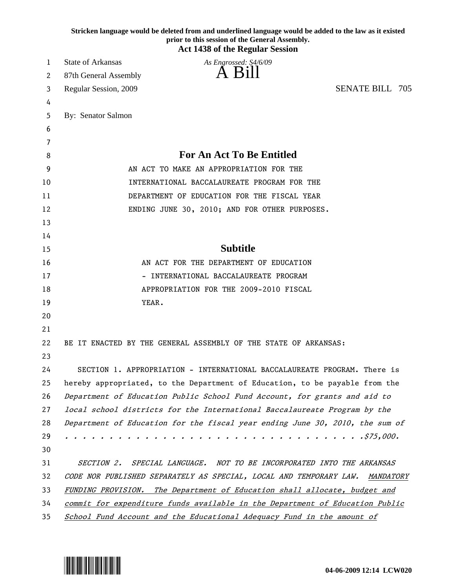|          | Stricken language would be deleted from and underlined language would be added to the law as it existed<br>prior to this session of the General Assembly.<br><b>Act 1438 of the Regular Session</b> |                                                                        |  |  |
|----------|-----------------------------------------------------------------------------------------------------------------------------------------------------------------------------------------------------|------------------------------------------------------------------------|--|--|
| 1        | <b>State of Arkansas</b><br>As Engrossed: S4/6/09                                                                                                                                                   |                                                                        |  |  |
| 2        | 87th General Assembly                                                                                                                                                                               |                                                                        |  |  |
| 3        | Regular Session, 2009                                                                                                                                                                               | <b>SENATE BILL 705</b>                                                 |  |  |
| 4        |                                                                                                                                                                                                     |                                                                        |  |  |
| 5        | By: Senator Salmon                                                                                                                                                                                  |                                                                        |  |  |
| 6        |                                                                                                                                                                                                     |                                                                        |  |  |
| 7        |                                                                                                                                                                                                     |                                                                        |  |  |
| 8        | <b>For An Act To Be Entitled</b>                                                                                                                                                                    |                                                                        |  |  |
| 9        | AN ACT TO MAKE AN APPROPRIATION FOR THE                                                                                                                                                             |                                                                        |  |  |
| 10       | INTERNATIONAL BACCALAUREATE PROGRAM FOR THE                                                                                                                                                         |                                                                        |  |  |
| 11       | DEPARTMENT OF EDUCATION FOR THE FISCAL YEAR                                                                                                                                                         |                                                                        |  |  |
| 12       | ENDING JUNE 30, 2010; AND FOR OTHER PURPOSES.                                                                                                                                                       |                                                                        |  |  |
| 13       |                                                                                                                                                                                                     |                                                                        |  |  |
| 14       |                                                                                                                                                                                                     |                                                                        |  |  |
| 15       | <b>Subtitle</b>                                                                                                                                                                                     |                                                                        |  |  |
| 16       | AN ACT FOR THE DEPARTMENT OF EDUCATION                                                                                                                                                              |                                                                        |  |  |
| 17       | - INTERNATIONAL BACCALAUREATE PROGRAM                                                                                                                                                               |                                                                        |  |  |
| 18       | APPROPRIATION FOR THE 2009-2010 FISCAL                                                                                                                                                              |                                                                        |  |  |
| 19       | YEAR.                                                                                                                                                                                               |                                                                        |  |  |
| 20       |                                                                                                                                                                                                     |                                                                        |  |  |
| 21       |                                                                                                                                                                                                     |                                                                        |  |  |
| 22<br>23 | BE IT ENACTED BY THE GENERAL ASSEMBLY OF THE STATE OF ARKANSAS:                                                                                                                                     |                                                                        |  |  |
| 24       | SECTION 1. APPROPRIATION - INTERNATIONAL BACCALAUREATE PROGRAM. There is                                                                                                                            |                                                                        |  |  |
| 25       | hereby appropriated, to the Department of Education, to be payable from the                                                                                                                         |                                                                        |  |  |
| 26       | Department of Education Public School Fund Account, for grants and aid to                                                                                                                           |                                                                        |  |  |
| 27       | local school districts for the International Baccalaureate Program by the                                                                                                                           |                                                                        |  |  |
| 28       | Department of Education for the fiscal year ending June 30, 2010, the sum of                                                                                                                        |                                                                        |  |  |
| 29       |                                                                                                                                                                                                     |                                                                        |  |  |
| 30       |                                                                                                                                                                                                     |                                                                        |  |  |
| 31       | SPECIAL LANGUAGE. NOT TO BE INCORPORATED INTO THE ARKANSAS<br><i>SECTION 2.</i>                                                                                                                     |                                                                        |  |  |
| 32       | CODE NOR PUBLISHED SEPARATELY AS SPECIAL, LOCAL AND TEMPORARY LAW. MANDATORY                                                                                                                        |                                                                        |  |  |
| 33       | FUNDING PROVISION. The Department of Education shall allocate, budget and                                                                                                                           |                                                                        |  |  |
| 34       | commit for expenditure funds available in the Department of Education Public                                                                                                                        |                                                                        |  |  |
| 35       |                                                                                                                                                                                                     | School Fund Account and the Educational Adequacy Fund in the amount of |  |  |

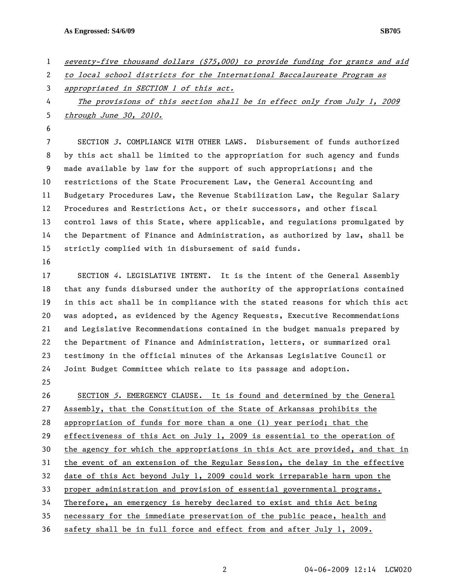**As Engrossed: S4/6/09 SB705** 

1 seventy-five thousand dollars (\$75,000) to provide funding for grants and aid 2 to local school districts for the International Baccalaureate Program as 3 appropriated in SECTION 1 of this act. 4 The provisions of this section shall be in effect only from July 1, 2009 5 through June 30, 2010. 6 7 SECTION 3. COMPLIANCE WITH OTHER LAWS. Disbursement of funds authorized 8 by this act shall be limited to the appropriation for such agency and funds 9 made available by law for the support of such appropriations; and the 10 restrictions of the State Procurement Law, the General Accounting and 11 Budgetary Procedures Law, the Revenue Stabilization Law, the Regular Salary 12 Procedures and Restrictions Act, or their successors, and other fiscal 13 control laws of this State, where applicable, and regulations promulgated by 14 the Department of Finance and Administration, as authorized by law, shall be 15 strictly complied with in disbursement of said funds.

16

17 SECTION 4. LEGISLATIVE INTENT. It is the intent of the General Assembly 18 that any funds disbursed under the authority of the appropriations contained 19 in this act shall be in compliance with the stated reasons for which this act 20 was adopted, as evidenced by the Agency Requests, Executive Recommendations 21 and Legislative Recommendations contained in the budget manuals prepared by 22 the Department of Finance and Administration, letters, or summarized oral 23 testimony in the official minutes of the Arkansas Legislative Council or 24 Joint Budget Committee which relate to its passage and adoption.

25

26 SECTION 5. EMERGENCY CLAUSE. It is found and determined by the General 27 Assembly, that the Constitution of the State of Arkansas prohibits the 28 appropriation of funds for more than a one (1) year period; that the 29 effectiveness of this Act on July 1, 2009 is essential to the operation of 30 the agency for which the appropriations in this Act are provided, and that in 31 the event of an extension of the Regular Session, the delay in the effective 32 date of this Act beyond July 1, 2009 could work irreparable harm upon the 33 proper administration and provision of essential governmental programs. 34 Therefore, an emergency is hereby declared to exist and this Act being 35 necessary for the immediate preservation of the public peace, health and 36 safety shall be in full force and effect from and after July 1, 2009.